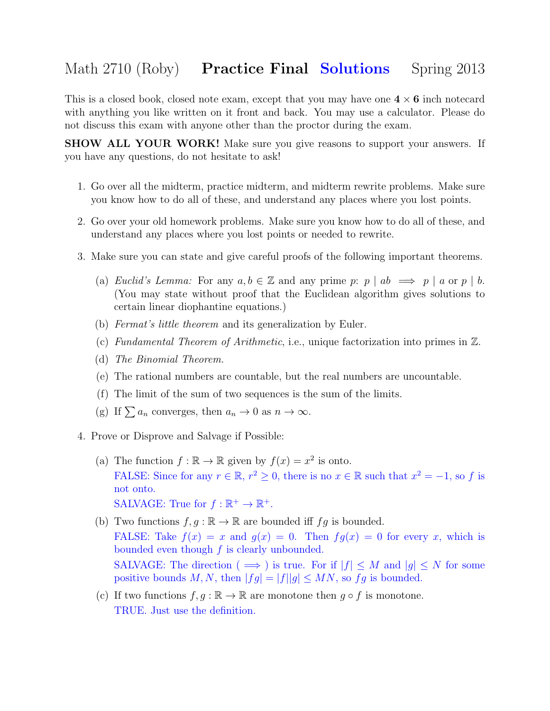## Math 2710 (Roby) **Practice Final Solutions** Spring 2013

This is a closed book, closed note exam, except that you may have one  $4 \times 6$  inch notecard with anything you like written on it front and back. You may use a calculator. Please do not discuss this exam with anyone other than the proctor during the exam.

SHOW ALL YOUR WORK! Make sure you give reasons to support your answers. If you have any questions, do not hesitate to ask!

- 1. Go over all the midterm, practice midterm, and midterm rewrite problems. Make sure you know how to do all of these, and understand any places where you lost points.
- 2. Go over your old homework problems. Make sure you know how to do all of these, and understand any places where you lost points or needed to rewrite.
- 3. Make sure you can state and give careful proofs of the following important theorems.
	- (a) Euclid's Lemma: For any  $a, b \in \mathbb{Z}$  and any prime p:  $p \mid ab \implies p \mid a$  or  $p \mid b$ . (You may state without proof that the Euclidean algorithm gives solutions to certain linear diophantine equations.)
	- (b) Fermat's little theorem and its generalization by Euler.
	- (c) Fundamental Theorem of Arithmetic, i.e., unique factorization into primes in Z.
	- (d) The Binomial Theorem.
	- (e) The rational numbers are countable, but the real numbers are uncountable.
	- (f) The limit of the sum of two sequences is the sum of the limits.
	- (g) If  $\sum a_n$  converges, then  $a_n \to 0$  as  $n \to \infty$ .
- 4. Prove or Disprove and Salvage if Possible:
	- (a) The function  $f : \mathbb{R} \to \mathbb{R}$  given by  $f(x) = x^2$  is onto. FALSE: Since for any  $r \in \mathbb{R}$ ,  $r^2 \geq 0$ , there is no  $x \in \mathbb{R}$  such that  $x^2 = -1$ , so f is not onto. SALVAGE: True for  $f : \mathbb{R}^+ \to \mathbb{R}^+$ .
	- (b) Two functions  $f, g : \mathbb{R} \to \mathbb{R}$  are bounded iff  $fg$  is bounded. FALSE: Take  $f(x) = x$  and  $g(x) = 0$ . Then  $fg(x) = 0$  for every x, which is bounded even though  $f$  is clearly unbounded. SALVAGE: The direction ( $\implies$ ) is true. For if  $|f| \leq M$  and  $|g| \leq N$  for some positive bounds M, N, then  $|fg| = |f||g| \le MN$ , so fg is bounded.
	- (c) If two functions  $f, g : \mathbb{R} \to \mathbb{R}$  are monotone then  $g \circ f$  is monotone. TRUE. Just use the definition.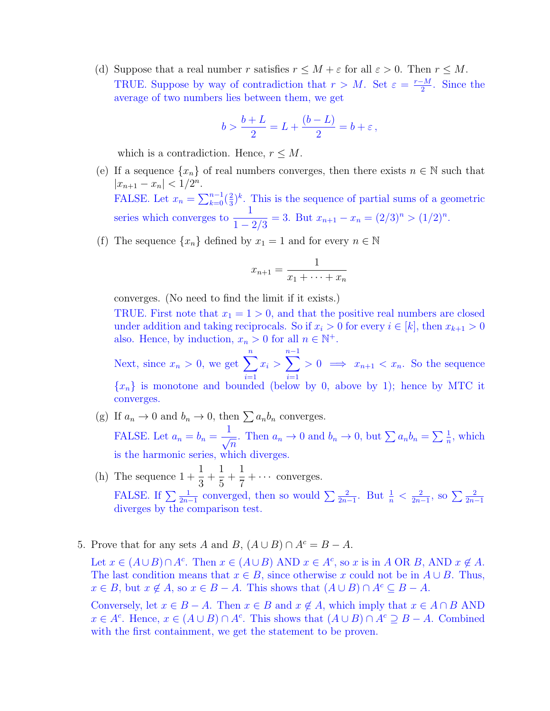(d) Suppose that a real number r satisfies  $r \leq M + \varepsilon$  for all  $\varepsilon > 0$ . Then  $r \leq M$ . TRUE. Suppose by way of contradiction that  $r > M$ . Set  $\varepsilon = \frac{r-M}{2}$  $\frac{-M}{2}$ . Since the average of two numbers lies between them, we get

$$
b > \frac{b+L}{2} = L + \frac{(b-L)}{2} = b + \varepsilon,
$$

which is a contradiction. Hence,  $r \leq M$ .

- (e) If a sequence  $\{x_n\}$  of real numbers converges, then there exists  $n \in \mathbb{N}$  such that  $|x_{n+1} - x_n| < 1/2^n$ . FALSE. Let  $x_n = \sum_{k=0}^{n-1} \left(\frac{2}{3}\right)$  $\frac{2}{3}$ <sup>k</sup>. This is the sequence of partial sums of a geometric series which converges to  $\frac{1}{1}$  $\frac{1}{1-2/3}$  = 3. But  $x_{n+1} - x_n = (2/3)^n > (1/2)^n$ .
- (f) The sequence  $\{x_n\}$  defined by  $x_1 = 1$  and for every  $n \in \mathbb{N}$

$$
x_{n+1} = \frac{1}{x_1 + \dots + x_n}
$$

converges. (No need to find the limit if it exists.)

TRUE. First note that  $x_1 = 1 > 0$ , and that the positive real numbers are closed under addition and taking reciprocals. So if  $x_i > 0$  for every  $i \in [k]$ , then  $x_{k+1} > 0$ also. Hence, by induction,  $x_n > 0$  for all  $n \in \mathbb{N}^+$ .

Next, since  $x_n > 0$ , we get  $\sum_{n=1}^n$  $\frac{i=1}{i}$  $x_i > \sum^{n-1}$  $i=1$  $> 0 \implies x_{n+1} < x_n$ . So the sequence  ${x_n}$  is monotone and bounded (below by 0, above by 1); hence by MTC it converges.

- (g) If  $a_n \to 0$  and  $b_n \to 0$ , then  $\sum a_n b_n$  converges. FALSE. Let  $a_n = b_n =$  $\frac{1}{\sqrt{2}}$  $\frac{1}{n}$ . Then  $a_n \to 0$  and  $b_n \to 0$ , but  $\sum a_n b_n = \sum \frac{1}{n}$ , which is the harmonic series, which diverges.
- (h) The sequence  $1 + \frac{1}{2}$ 3  $+$ 1 5  $+$ 1 7  $+ \cdots$  converges. FALSE. If  $\sum \frac{1}{2n-1}$  converged, then so would  $\sum \frac{2}{2n-1}$ . But  $\frac{1}{n} < \frac{2}{2n-1}$  $\frac{2}{2n-1}$ , so  $\sum \frac{2}{2n-1}$ diverges by the comparison test.
- 5. Prove that for any sets A and B,  $(A \cup B) \cap A^c = B A$ .

Let  $x \in (A \cup B) \cap A^c$ . Then  $x \in (A \cup B)$  AND  $x \in A^c$ , so x is in A OR B, AND  $x \notin A$ . The last condition means that  $x \in B$ , since otherwise x could not be in  $A \cup B$ . Thus,  $x \in B$ , but  $x \notin A$ , so  $x \in B - A$ . This shows that  $(A \cup B) \cap A^c \subseteq B - A$ .

Conversely, let  $x \in B - A$ . Then  $x \in B$  and  $x \notin A$ , which imply that  $x \in A \cap B$  AND  $x \in A^c$ . Hence,  $x \in (A \cup B) \cap A^c$ . This shows that  $(A \cup B) \cap A^c \supseteq B - A$ . Combined with the first containment, we get the statement to be proven.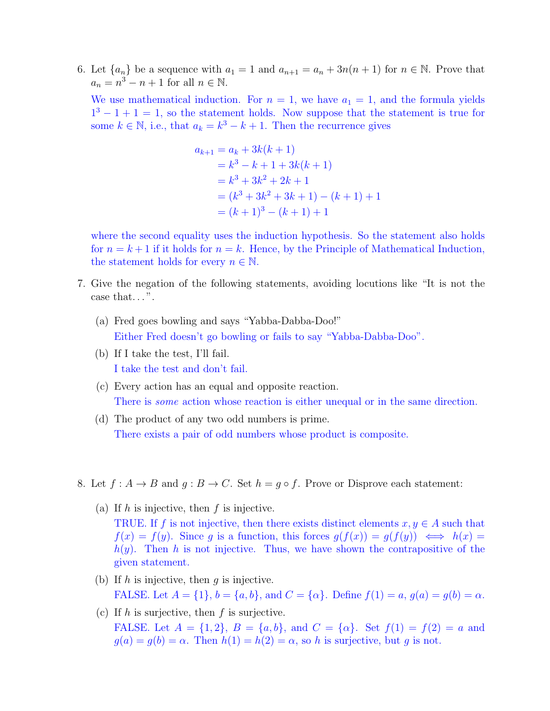6. Let  $\{a_n\}$  be a sequence with  $a_1 = 1$  and  $a_{n+1} = a_n + 3n(n+1)$  for  $n \in \mathbb{N}$ . Prove that  $a_n = n^3 - n + 1$  for all  $n \in \mathbb{N}$ .

We use mathematical induction. For  $n = 1$ , we have  $a_1 = 1$ , and the formula yields  $1^3 - 1 + 1 = 1$ , so the statement holds. Now suppose that the statement is true for some  $k \in \mathbb{N}$ , i.e., that  $a_k = k^3 - k + 1$ . Then the recurrence gives

$$
a_{k+1} = a_k + 3k(k+1)
$$
  
=  $k^3 - k + 1 + 3k(k+1)$   
=  $k^3 + 3k^2 + 2k + 1$   
=  $(k^3 + 3k^2 + 3k + 1) - (k+1) + 1$   
=  $(k+1)^3 - (k+1) + 1$ 

where the second equality uses the induction hypothesis. So the statement also holds for  $n = k + 1$  if it holds for  $n = k$ . Hence, by the Principle of Mathematical Induction, the statement holds for every  $n \in \mathbb{N}$ .

- 7. Give the negation of the following statements, avoiding locutions like "It is not the case that...".
	- (a) Fred goes bowling and says "Yabba-Dabba-Doo!" Either Fred doesn't go bowling or fails to say "Yabba-Dabba-Doo".
	- (b) If I take the test, I'll fail. I take the test and don't fail.
	- (c) Every action has an equal and opposite reaction. There is some action whose reaction is either unequal or in the same direction.
	- (d) The product of any two odd numbers is prime. There exists a pair of odd numbers whose product is composite.
- 8. Let  $f: A \to B$  and  $g: B \to C$ . Set  $h = g \circ f$ . Prove or Disprove each statement:
	- (a) If  $h$  is injective, then  $f$  is injective. TRUE. If f is not injective, then there exists distinct elements  $x, y \in A$  such that  $f(x) = f(y)$ . Since g is a function, this forces  $g(f(x)) = g(f(y)) \iff h(x) =$  $h(y)$ . Then h is not injective. Thus, we have shown the contrapositive of the given statement.
	- (b) If h is injective, then  $g$  is injective. FALSE. Let  $A = \{1\}$ ,  $b = \{a, b\}$ , and  $C = \{\alpha\}$ . Define  $f(1) = a$ ,  $g(a) = g(b) = \alpha$ .
	- (c) If h is surjective, then f is surjective. FALSE. Let  $A = \{1, 2\}, B = \{a, b\}, \text{ and } C = \{\alpha\}.$  Set  $f(1) = f(2) = a$  and  $g(a) = g(b) = \alpha$ . Then  $h(1) = h(2) = \alpha$ , so h is surjective, but g is not.